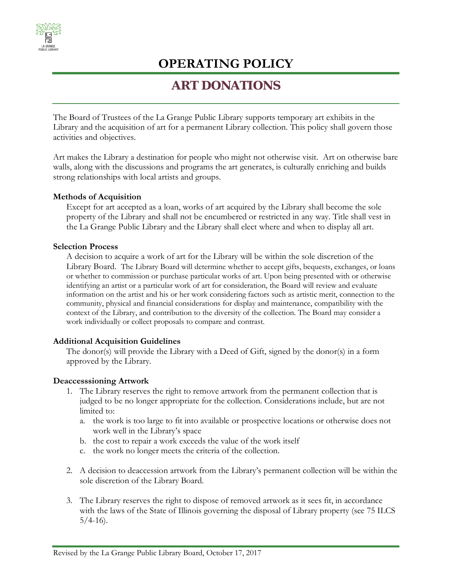

# **OPERATING POLICY**

### **ART DONATIONS**

The Board of Trustees of the La Grange Public Library supports temporary art exhibits in the Library and the acquisition of art for a permanent Library collection. This policy shall govern those activities and objectives.

Art makes the Library a destination for people who might not otherwise visit. Art on otherwise bare walls, along with the discussions and programs the art generates, is culturally enriching and builds strong relationships with local artists and groups.

#### **Methods of Acquisition**

Except for art accepted as a loan, works of art acquired by the Library shall become the sole property of the Library and shall not be encumbered or restricted in any way. Title shall vest in the La Grange Public Library and the Library shall elect where and when to display all art.

#### **Selection Process**

A decision to acquire a work of art for the Library will be within the sole discretion of the Library Board. The Library Board will determine whether to accept gifts, bequests, exchanges, or loans or whether to commission or purchase particular works of art. Upon being presented with or otherwise identifying an artist or a particular work of art for consideration, the Board will review and evaluate information on the artist and his or her work considering factors such as artistic merit, connection to the community, physical and financial considerations for display and maintenance, compatibility with the context of the Library, and contribution to the diversity of the collection. The Board may consider a work individually or collect proposals to compare and contrast.

#### **Additional Acquisition Guidelines**

The donor(s) will provide the Library with a Deed of Gift, signed by the donor(s) in a form approved by the Library.

#### **Deaccesssioning Artwork**

- 1. The Library reserves the right to remove artwork from the permanent collection that is judged to be no longer appropriate for the collection. Considerations include, but are not limited to:
	- a. the work is too large to fit into available or prospective locations or otherwise does not work well in the Library's space
	- b. the cost to repair a work exceeds the value of the work itself
	- c. the work no longer meets the criteria of the collection.
- 2. A decision to deaccession artwork from the Library's permanent collection will be within the sole discretion of the Library Board.
- 3. The Library reserves the right to dispose of removed artwork as it sees fit, in accordance with the laws of the State of Illinois governing the disposal of Library property (see 75 ILCS  $5/4-16$ ).